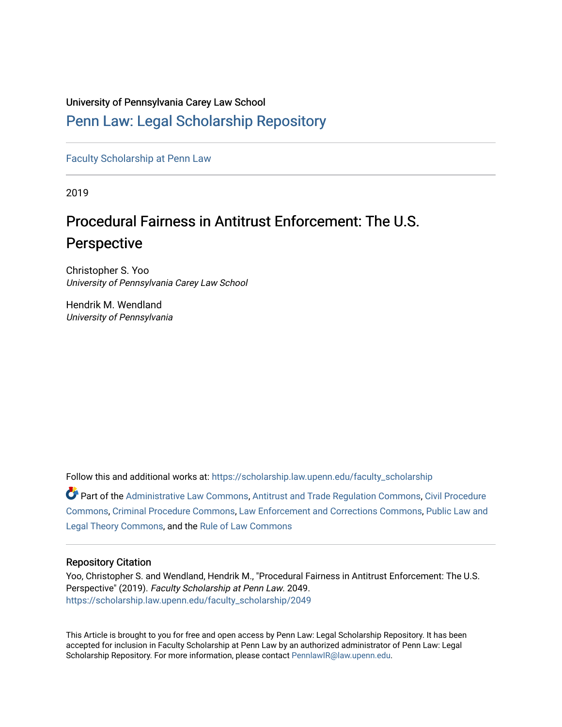# University of Pennsylvania Carey Law School

# [Penn Law: Legal Scholarship Repository](https://scholarship.law.upenn.edu/)

[Faculty Scholarship at Penn Law](https://scholarship.law.upenn.edu/faculty_scholarship)

2019

# Procedural Fairness in Antitrust Enforcement: The U.S. Perspective

Christopher S. Yoo University of Pennsylvania Carey Law School

Hendrik M. Wendland University of Pennsylvania

Follow this and additional works at: [https://scholarship.law.upenn.edu/faculty\\_scholarship](https://scholarship.law.upenn.edu/faculty_scholarship?utm_source=scholarship.law.upenn.edu%2Ffaculty_scholarship%2F2049&utm_medium=PDF&utm_campaign=PDFCoverPages) 

Part of the [Administrative Law Commons,](http://network.bepress.com/hgg/discipline/579?utm_source=scholarship.law.upenn.edu%2Ffaculty_scholarship%2F2049&utm_medium=PDF&utm_campaign=PDFCoverPages) [Antitrust and Trade Regulation Commons,](http://network.bepress.com/hgg/discipline/911?utm_source=scholarship.law.upenn.edu%2Ffaculty_scholarship%2F2049&utm_medium=PDF&utm_campaign=PDFCoverPages) [Civil Procedure](http://network.bepress.com/hgg/discipline/584?utm_source=scholarship.law.upenn.edu%2Ffaculty_scholarship%2F2049&utm_medium=PDF&utm_campaign=PDFCoverPages)  [Commons](http://network.bepress.com/hgg/discipline/584?utm_source=scholarship.law.upenn.edu%2Ffaculty_scholarship%2F2049&utm_medium=PDF&utm_campaign=PDFCoverPages), [Criminal Procedure Commons](http://network.bepress.com/hgg/discipline/1073?utm_source=scholarship.law.upenn.edu%2Ffaculty_scholarship%2F2049&utm_medium=PDF&utm_campaign=PDFCoverPages), [Law Enforcement and Corrections Commons](http://network.bepress.com/hgg/discipline/854?utm_source=scholarship.law.upenn.edu%2Ffaculty_scholarship%2F2049&utm_medium=PDF&utm_campaign=PDFCoverPages), [Public Law and](http://network.bepress.com/hgg/discipline/871?utm_source=scholarship.law.upenn.edu%2Ffaculty_scholarship%2F2049&utm_medium=PDF&utm_campaign=PDFCoverPages)  [Legal Theory Commons,](http://network.bepress.com/hgg/discipline/871?utm_source=scholarship.law.upenn.edu%2Ffaculty_scholarship%2F2049&utm_medium=PDF&utm_campaign=PDFCoverPages) and the [Rule of Law Commons](http://network.bepress.com/hgg/discipline/1122?utm_source=scholarship.law.upenn.edu%2Ffaculty_scholarship%2F2049&utm_medium=PDF&utm_campaign=PDFCoverPages)

#### Repository Citation

Yoo, Christopher S. and Wendland, Hendrik M., "Procedural Fairness in Antitrust Enforcement: The U.S. Perspective" (2019). Faculty Scholarship at Penn Law. 2049. [https://scholarship.law.upenn.edu/faculty\\_scholarship/2049](https://scholarship.law.upenn.edu/faculty_scholarship/2049?utm_source=scholarship.law.upenn.edu%2Ffaculty_scholarship%2F2049&utm_medium=PDF&utm_campaign=PDFCoverPages)

This Article is brought to you for free and open access by Penn Law: Legal Scholarship Repository. It has been accepted for inclusion in Faculty Scholarship at Penn Law by an authorized administrator of Penn Law: Legal Scholarship Repository. For more information, please contact [PennlawIR@law.upenn.edu.](mailto:PennlawIR@law.upenn.edu)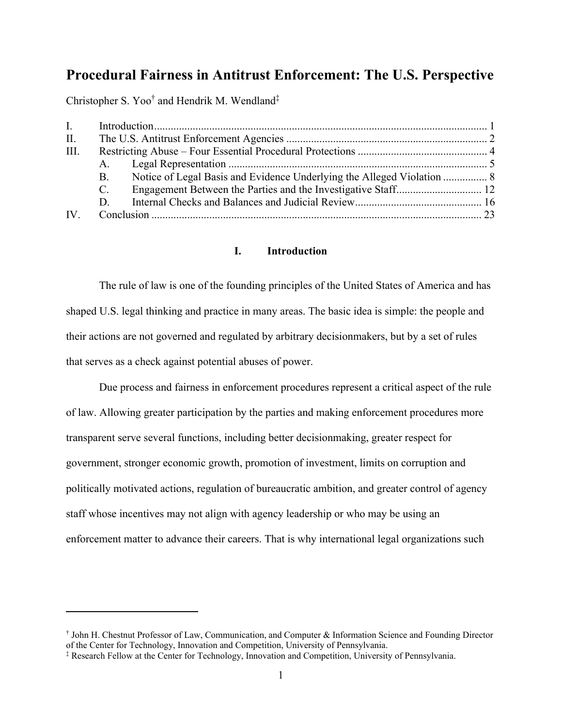# **Procedural Fairness in Antitrust Enforcement: The U.S. Perspective**

Christopher S. Yoo<sup>†</sup> and Hendrik M. Wendland<sup>‡</sup>

| $\mathbf{I}$ . |             |                                                                        |  |
|----------------|-------------|------------------------------------------------------------------------|--|
| II.            |             |                                                                        |  |
| III.           |             |                                                                        |  |
|                |             |                                                                        |  |
|                | B.          | Notice of Legal Basis and Evidence Underlying the Alleged Violation  8 |  |
|                | $C_{\cdot}$ |                                                                        |  |
|                | D.          |                                                                        |  |
| IV.            |             |                                                                        |  |

## **I. Introduction**

 The rule of law is one of the founding principles of the United States of America and has shaped U.S. legal thinking and practice in many areas. The basic idea is simple: the people and their actions are not governed and regulated by arbitrary decisionmakers, but by a set of rules that serves as a check against potential abuses of power.

 Due process and fairness in enforcement procedures represent a critical aspect of the rule of law. Allowing greater participation by the parties and making enforcement procedures more transparent serve several functions, including better decisionmaking, greater respect for government, stronger economic growth, promotion of investment, limits on corruption and politically motivated actions, regulation of bureaucratic ambition, and greater control of agency staff whose incentives may not align with agency leadership or who may be using an enforcement matter to advance their careers. That is why international legal organizations such

<sup>†</sup> John H. Chestnut Professor of Law, Communication, and Computer & Information Science and Founding Director of the Center for Technology, Innovation and Competition, University of Pennsylvania.

<sup>‡</sup> Research Fellow at the Center for Technology, Innovation and Competition, University of Pennsylvania.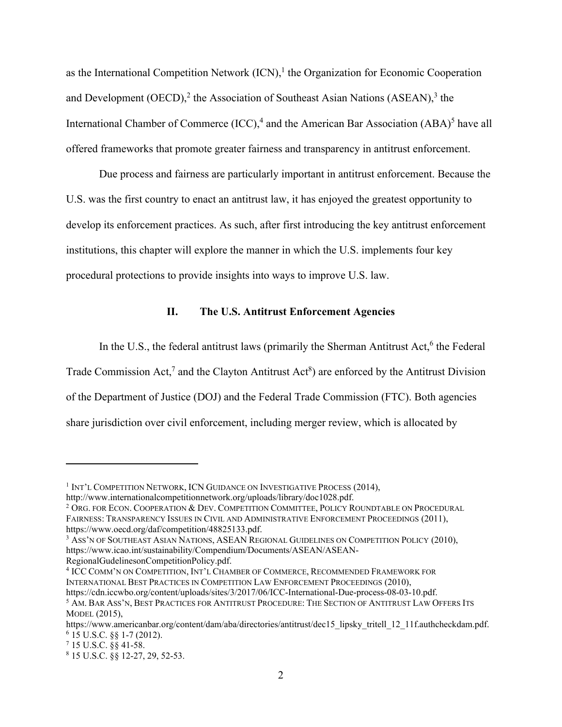as the International Competition Network  $(ICN)$ ,<sup>1</sup> the Organization for Economic Cooperation and Development (OECD), $^2$  the Association of Southeast Asian Nations (ASEAN), $^3$  the International Chamber of Commerce  $(ICC)$ ,<sup>4</sup> and the American Bar Association  $(ABA)^5$  have all offered frameworks that promote greater fairness and transparency in antitrust enforcement.

 Due process and fairness are particularly important in antitrust enforcement. Because the U.S. was the first country to enact an antitrust law, it has enjoyed the greatest opportunity to develop its enforcement practices. As such, after first introducing the key antitrust enforcement institutions, this chapter will explore the manner in which the U.S. implements four key procedural protections to provide insights into ways to improve U.S. law.

# **II. The U.S. Antitrust Enforcement Agencies**

In the U.S., the federal antitrust laws (primarily the Sherman Antitrust Act,<sup>6</sup> the Federal Trade Commission Act,<sup>7</sup> and the Clayton Antitrust Act<sup>8</sup>) are enforced by the Antitrust Division of the Department of Justice (DOJ) and the Federal Trade Commission (FTC). Both agencies share jurisdiction over civil enforcement, including merger review, which is allocated by

RegionalGudelinesonCompetitionPolicy.pdf.

4 ICC COMM'N ON COMPETITION, INT'L CHAMBER OF COMMERCE, RECOMMENDED FRAMEWORK FOR INTERNATIONAL BEST PRACTICES IN COMPETITION LAW ENFORCEMENT PROCEEDINGS (2010), https://cdn.iccwbo.org/content/uploads/sites/3/2017/06/ICC-International-Due-process-08-03-10.pdf.

<sup>&</sup>lt;sup>1</sup> INT'L COMPETITION NETWORK, ICN GUIDANCE ON INVESTIGATIVE PROCESS (2014),

http://www.internationalcompetitionnetwork.org/uploads/library/doc1028.pdf.

<sup>&</sup>lt;sup>2</sup> Org. for Econ. Cooperation & Dev. Competition Committee, Policy Roundtable on Procedural FAIRNESS: TRANSPARENCY ISSUES IN CIVIL AND ADMINISTRATIVE ENFORCEMENT PROCEEDINGS (2011), https://www.oecd.org/daf/competition/48825133.pdf.

<sup>&</sup>lt;sup>3</sup> Ass'n of Southeast Asian Nations, ASEAN Regional Guidelines on Competition Policy (2010), https://www.icao.int/sustainability/Compendium/Documents/ASEAN/ASEAN-

 $^5$  AM. BAR ASS'N, BEST PRACTICES FOR ANTITRUST PROCEDURE: THE SECTION OF ANTITRUST LAW OFFERS ITS MODEL (2015),

https://www.americanbar.org/content/dam/aba/directories/antitrust/dec15\_lipsky\_tritell\_12\_11f.authcheckdam.pdf.  $6$  15 U.S.C.  $88$  1-7 (2012).

 $7$  15 U.S.C. §§ 41-58.

<sup>8</sup> 15 U.S.C. §§ 12-27, 29, 52-53.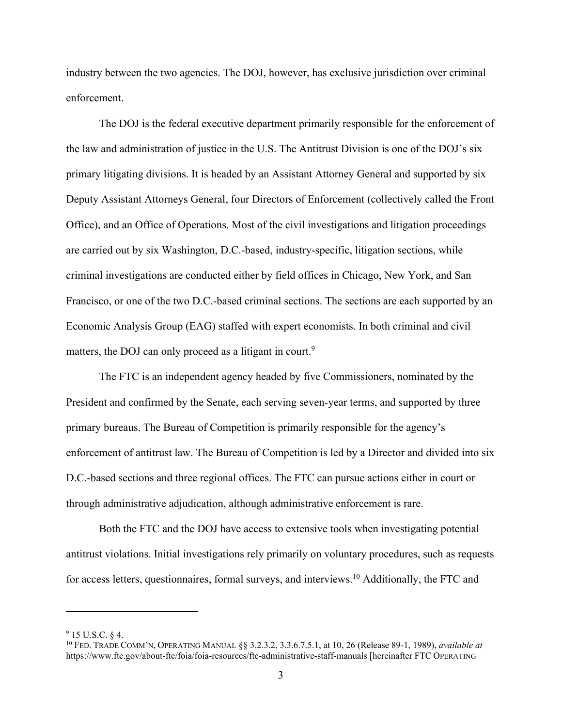industry between the two agencies. The DOJ, however, has exclusive jurisdiction over criminal enforcement.

 The DOJ is the federal executive department primarily responsible for the enforcement of the law and administration of justice in the U.S. The Antitrust Division is one of the DOJ's six primary litigating divisions. It is headed by an Assistant Attorney General and supported by six Deputy Assistant Attorneys General, four Directors of Enforcement (collectively called the Front Office), and an Office of Operations. Most of the civil investigations and litigation proceedings are carried out by six Washington, D.C.-based, industry-specific, litigation sections, while criminal investigations are conducted either by field offices in Chicago, New York, and San Francisco, or one of the two D.C.-based criminal sections. The sections are each supported by an Economic Analysis Group (EAG) staffed with expert economists. In both criminal and civil matters, the DOJ can only proceed as a litigant in court.<sup>9</sup>

 The FTC is an independent agency headed by five Commissioners, nominated by the President and confirmed by the Senate, each serving seven-year terms, and supported by three primary bureaus. The Bureau of Competition is primarily responsible for the agency's enforcement of antitrust law. The Bureau of Competition is led by a Director and divided into six D.C.-based sections and three regional offices. The FTC can pursue actions either in court or through administrative adjudication, although administrative enforcement is rare.

 Both the FTC and the DOJ have access to extensive tools when investigating potential antitrust violations. Initial investigations rely primarily on voluntary procedures, such as requests for access letters, questionnaires, formal surveys, and interviews.10 Additionally, the FTC and

 $9$  15 U.S.C. § 4.

<sup>10</sup> FED. TRADE COMM'N, OPERATING MANUAL §§ 3.2.3.2, 3.3.6.7.5.1, at 10, 26 (Release 89-1, 1989), *available at* https://www.ftc.gov/about-ftc/foia/foia-resources/ftc-administrative-staff-manuals [hereinafter FTC OPERATING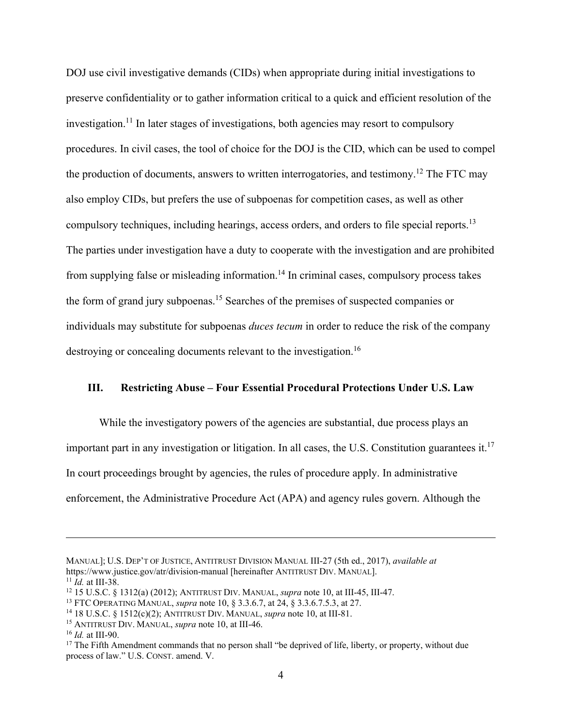DOJ use civil investigative demands (CIDs) when appropriate during initial investigations to preserve confidentiality or to gather information critical to a quick and efficient resolution of the investigation.<sup>11</sup> In later stages of investigations, both agencies may resort to compulsory procedures. In civil cases, the tool of choice for the DOJ is the CID, which can be used to compel the production of documents, answers to written interrogatories, and testimony.<sup>12</sup> The FTC may also employ CIDs, but prefers the use of subpoenas for competition cases, as well as other compulsory techniques, including hearings, access orders, and orders to file special reports.<sup>13</sup> The parties under investigation have a duty to cooperate with the investigation and are prohibited from supplying false or misleading information.<sup>14</sup> In criminal cases, compulsory process takes the form of grand jury subpoenas.15 Searches of the premises of suspected companies or individuals may substitute for subpoenas *duces tecum* in order to reduce the risk of the company destroying or concealing documents relevant to the investigation.<sup>16</sup>

# **III. Restricting Abuse – Four Essential Procedural Protections Under U.S. Law**

 While the investigatory powers of the agencies are substantial, due process plays an important part in any investigation or litigation. In all cases, the U.S. Constitution guarantees it.<sup>17</sup> In court proceedings brought by agencies, the rules of procedure apply. In administrative enforcement, the Administrative Procedure Act (APA) and agency rules govern. Although the

MANUAL]; U.S. DEP'T OF JUSTICE, ANTITRUST DIVISION MANUAL III-27 (5th ed., 2017), *available at*

<sup>&</sup>lt;sup>11</sup> *Id.* at III-38.<br><sup>12</sup> 15 U.S.C. § 1312(a) (2012); ANTITRUST DIV. MANUAL, *supra* note 10, at III-45, III-47.<br><sup>13</sup> FTC OPERATING MANUAL, *supra* note 10, § 3.3.6.7, at 24, § 3.3.6.7.5.3, at 27.<br><sup>14</sup> 18 U.S.C. § 1512(c

process of law." U.S. CONST. amend. V.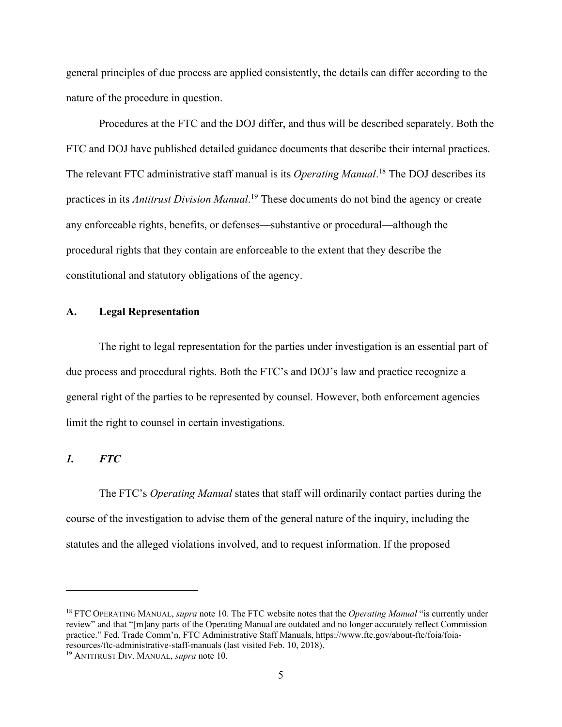general principles of due process are applied consistently, the details can differ according to the nature of the procedure in question.

 Procedures at the FTC and the DOJ differ, and thus will be described separately. Both the FTC and DOJ have published detailed guidance documents that describe their internal practices. The relevant FTC administrative staff manual is its *Operating Manual*. 18 The DOJ describes its practices in its *Antitrust Division Manual*. 19 These documents do not bind the agency or create any enforceable rights, benefits, or defenses—substantive or procedural—although the procedural rights that they contain are enforceable to the extent that they describe the constitutional and statutory obligations of the agency.

#### **A. Legal Representation**

 The right to legal representation for the parties under investigation is an essential part of due process and procedural rights. Both the FTC's and DOJ's law and practice recognize a general right of the parties to be represented by counsel. However, both enforcement agencies limit the right to counsel in certain investigations.

# *1. FTC*

 The FTC's *Operating Manual* states that staff will ordinarily contact parties during the course of the investigation to advise them of the general nature of the inquiry, including the statutes and the alleged violations involved, and to request information. If the proposed

<sup>18</sup> FTC OPERATING MANUAL, *supra* note 10. The FTC website notes that the *Operating Manual* "is currently under review" and that "[m]any parts of the Operating Manual are outdated and no longer accurately reflect Commission practice." Fed. Trade Comm'n, FTC Administrative Staff Manuals, https://www.ftc.gov/about-ftc/foia/foiaresources/ftc-administrative-staff-manuals (last visited Feb. 10, 2018). 19 ANTITRUST DIV. MANUAL, *supra* note 10.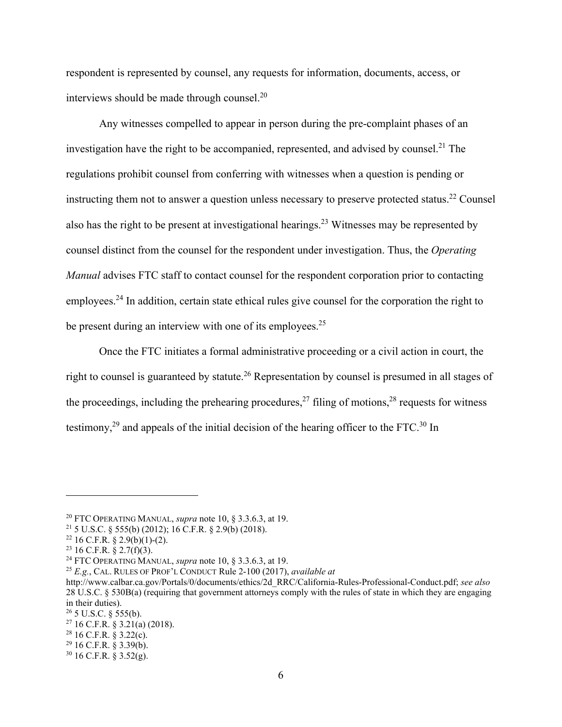respondent is represented by counsel, any requests for information, documents, access, or interviews should be made through counsel.20

 Any witnesses compelled to appear in person during the pre-complaint phases of an investigation have the right to be accompanied, represented, and advised by counsel.<sup>21</sup> The regulations prohibit counsel from conferring with witnesses when a question is pending or instructing them not to answer a question unless necessary to preserve protected status.<sup>22</sup> Counsel also has the right to be present at investigational hearings.<sup>23</sup> Witnesses may be represented by counsel distinct from the counsel for the respondent under investigation. Thus, the *Operating Manual* advises FTC staff to contact counsel for the respondent corporation prior to contacting employees.<sup>24</sup> In addition, certain state ethical rules give counsel for the corporation the right to be present during an interview with one of its employees.<sup>25</sup>

 Once the FTC initiates a formal administrative proceeding or a civil action in court, the right to counsel is guaranteed by statute.<sup>26</sup> Representation by counsel is presumed in all stages of the proceedings, including the prehearing procedures,<sup>27</sup> filing of motions,<sup>28</sup> requests for witness testimony,<sup>29</sup> and appeals of the initial decision of the hearing officer to the FTC.<sup>30</sup> In

 $26$  5 U.S.C. § 555(b).

<sup>20</sup> FTC OPERATING MANUAL, *supra* note 10, § 3.3.6.3, at 19. 21 5 U.S.C. § 555(b) (2012); 16 C.F.R. § 2.9(b) (2018).

 $22$  16 C.F.R. § 2.9(b)(1)-(2).

<sup>&</sup>lt;sup>23</sup> 16 C.F.R. § 2.7(f)(3).<br><sup>24</sup> FTC OPERATING MANUAL, *supra* note 10, § 3.3.6.3, at 19.

<sup>&</sup>lt;sup>25</sup> E.g., CAL. RULES OF PROF'L CONDUCT Rule 2-100 (2017), *available at* 

http://www.calbar.ca.gov/Portals/0/documents/ethics/2d\_RRC/California-Rules-Professional-Conduct.pdf; *see also* 28 U.S.C. § 530B(a) (requiring that government attorneys comply with the rules of state in which they are engaging in their duties).

 $27$  16 C.F.R. § 3.21(a) (2018).

 $28$  16 C.F.R. § 3.22(c).

 $29$  16 C.F.R. § 3.39(b).

 $30 \text{ 16 C.F.R. }$  § 3.52(g).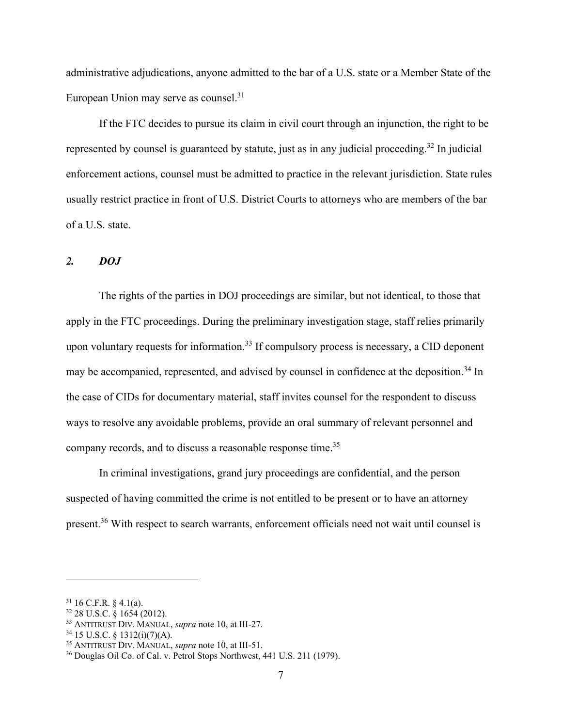administrative adjudications, anyone admitted to the bar of a U.S. state or a Member State of the European Union may serve as counsel.<sup>31</sup>

 If the FTC decides to pursue its claim in civil court through an injunction, the right to be represented by counsel is guaranteed by statute, just as in any judicial proceeding.<sup>32</sup> In judicial enforcement actions, counsel must be admitted to practice in the relevant jurisdiction. State rules usually restrict practice in front of U.S. District Courts to attorneys who are members of the bar of a U.S. state.

# *2. DOJ*

 The rights of the parties in DOJ proceedings are similar, but not identical, to those that apply in the FTC proceedings. During the preliminary investigation stage, staff relies primarily upon voluntary requests for information.<sup>33</sup> If compulsory process is necessary, a CID deponent may be accompanied, represented, and advised by counsel in confidence at the deposition.<sup>34</sup> In the case of CIDs for documentary material, staff invites counsel for the respondent to discuss ways to resolve any avoidable problems, provide an oral summary of relevant personnel and company records, and to discuss a reasonable response time.<sup>35</sup>

 In criminal investigations, grand jury proceedings are confidential, and the person suspected of having committed the crime is not entitled to be present or to have an attorney present.36 With respect to search warrants, enforcement officials need not wait until counsel is

 $31$  16 C.F.R. § 4.1(a).

 $32$  28 U.S.C.  $\check{\S}$  1654 (2012).

<sup>&</sup>lt;sup>33</sup> ANTITRUST DIV. MANUAL, *supra* note 10, at III-27.<br><sup>34</sup> 15 U.S.C. § 1312(i)(7)(A).<br><sup>35</sup> ANTITRUST DIV. MANUAL, *supra* note 10, at III-51.

<sup>&</sup>lt;sup>36</sup> Douglas Oil Co. of Cal. v. Petrol Stops Northwest, 441 U.S. 211 (1979).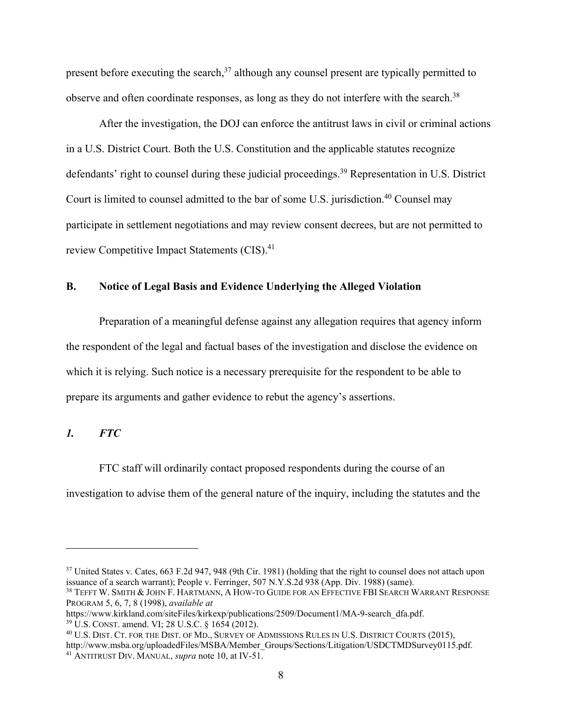present before executing the search,  $37$  although any counsel present are typically permitted to observe and often coordinate responses, as long as they do not interfere with the search.<sup>38</sup>

 After the investigation, the DOJ can enforce the antitrust laws in civil or criminal actions in a U.S. District Court. Both the U.S. Constitution and the applicable statutes recognize defendants' right to counsel during these judicial proceedings.<sup>39</sup> Representation in U.S. District Court is limited to counsel admitted to the bar of some U.S. jurisdiction.<sup>40</sup> Counsel may participate in settlement negotiations and may review consent decrees, but are not permitted to review Competitive Impact Statements (CIS).<sup>41</sup>

# **B. Notice of Legal Basis and Evidence Underlying the Alleged Violation**

 Preparation of a meaningful defense against any allegation requires that agency inform the respondent of the legal and factual bases of the investigation and disclose the evidence on which it is relying. Such notice is a necessary prerequisite for the respondent to be able to prepare its arguments and gather evidence to rebut the agency's assertions.

# *1. FTC*

 FTC staff will ordinarily contact proposed respondents during the course of an investigation to advise them of the general nature of the inquiry, including the statutes and the

<sup>&</sup>lt;sup>37</sup> United States v. Cates, 663 F.2d 947, 948 (9th Cir. 1981) (holding that the right to counsel does not attach upon issuance of a search warrant); People v. Ferringer, 507 N.Y.S.2d 938 (App. Div. 1988) (same).

<sup>38</sup> TEFFT W. SMITH & JOHN F. HARTMANN, A HOW-TO GUIDE FOR AN EFFECTIVE FBI SEARCH WARRANT RESPONSE PROGRAM 5, 6, 7, 8 (1998), *available at*

<sup>&</sup>lt;sup>39</sup> U.S. CONST. amend. VI; 28 U.S.C. § 1654 (2012).<br><sup>40</sup> U.S. DIST. CT. FOR THE DIST. OF MD., SURVEY OF ADMISSIONS RULES IN U.S. DISTRICT COURTS (2015),

http://www.msba.org/uploadedFiles/MSBA/Member\_Groups/Sections/Litigation/USDCTMDSurvey0115.pdf. 41 ANTITRUST DIV. MANUAL, *supra* note 10, at IV-51.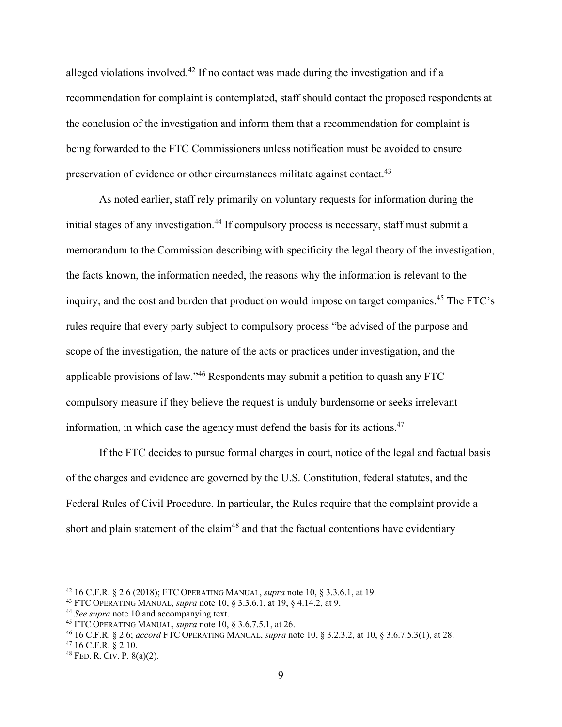alleged violations involved.<sup>42</sup> If no contact was made during the investigation and if a recommendation for complaint is contemplated, staff should contact the proposed respondents at the conclusion of the investigation and inform them that a recommendation for complaint is being forwarded to the FTC Commissioners unless notification must be avoided to ensure preservation of evidence or other circumstances militate against contact.<sup>43</sup>

 As noted earlier, staff rely primarily on voluntary requests for information during the initial stages of any investigation.<sup>44</sup> If compulsory process is necessary, staff must submit a memorandum to the Commission describing with specificity the legal theory of the investigation, the facts known, the information needed, the reasons why the information is relevant to the inquiry, and the cost and burden that production would impose on target companies.<sup>45</sup> The FTC's rules require that every party subject to compulsory process "be advised of the purpose and scope of the investigation, the nature of the acts or practices under investigation, and the applicable provisions of law."46 Respondents may submit a petition to quash any FTC compulsory measure if they believe the request is unduly burdensome or seeks irrelevant information, in which case the agency must defend the basis for its actions.<sup>47</sup>

 If the FTC decides to pursue formal charges in court, notice of the legal and factual basis of the charges and evidence are governed by the U.S. Constitution, federal statutes, and the Federal Rules of Civil Procedure. In particular, the Rules require that the complaint provide a short and plain statement of the claim<sup>48</sup> and that the factual contentions have evidentiary

<sup>&</sup>lt;sup>42</sup> 16 C.F.R. § 2.6 (2018); FTC OPERATING MANUAL, *supra* note 10, § 3.3.6.1, at 19.<br><sup>43</sup> FTC OPERATING MANUAL, *supra* note 10, § 3.3.6.1, at 19, § 4.14.2, at 9.<br><sup>44</sup> *See supra* note 10 and accompanying text.<br><sup>45</sup> FTC

<sup>48</sup> FED. R. CIV. P. 8(a)(2).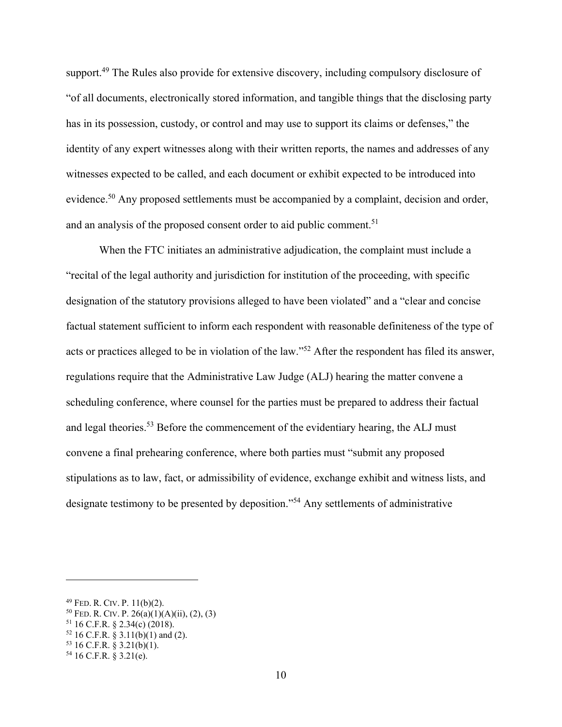support.<sup>49</sup> The Rules also provide for extensive discovery, including compulsory disclosure of "of all documents, electronically stored information, and tangible things that the disclosing party has in its possession, custody, or control and may use to support its claims or defenses," the identity of any expert witnesses along with their written reports, the names and addresses of any witnesses expected to be called, and each document or exhibit expected to be introduced into evidence.<sup>50</sup> Any proposed settlements must be accompanied by a complaint, decision and order, and an analysis of the proposed consent order to aid public comment.<sup>51</sup>

 When the FTC initiates an administrative adjudication, the complaint must include a "recital of the legal authority and jurisdiction for institution of the proceeding, with specific designation of the statutory provisions alleged to have been violated" and a "clear and concise factual statement sufficient to inform each respondent with reasonable definiteness of the type of acts or practices alleged to be in violation of the law."52 After the respondent has filed its answer, regulations require that the Administrative Law Judge (ALJ) hearing the matter convene a scheduling conference, where counsel for the parties must be prepared to address their factual and legal theories.<sup>53</sup> Before the commencement of the evidentiary hearing, the ALJ must convene a final prehearing conference, where both parties must "submit any proposed stipulations as to law, fact, or admissibility of evidence, exchange exhibit and witness lists, and designate testimony to be presented by deposition."<sup>54</sup> Any settlements of administrative

<sup>&</sup>lt;sup>49</sup> FED. R. CIV. P. 11(b)(2).<br><sup>50</sup> FED. R. CIV. P. 26(a)(1)(A)(ii), (2), (3)<br><sup>51</sup> 16 C.F.R. § 2.34(c) (2018).

 $52$  16 C.F.R. § 3.11(b)(1) and (2).

 $53$  16 C.F.R. § 3.21(b)(1).

 $54$  16 C.F.R. § 3.21(e).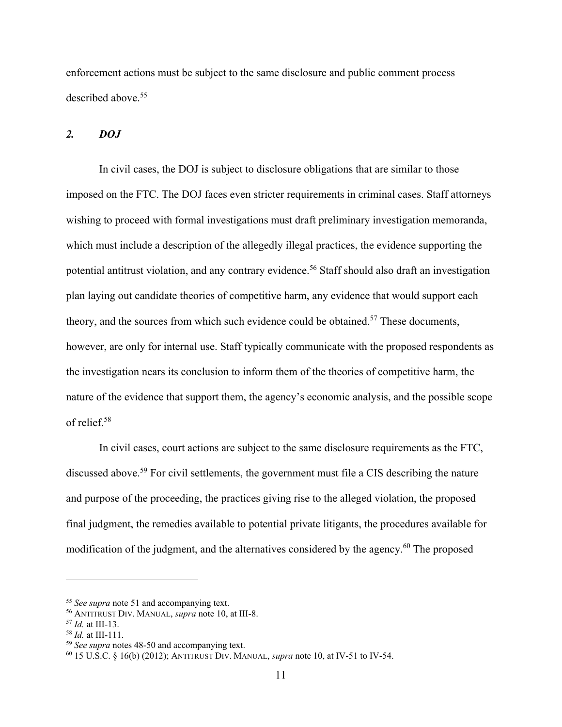enforcement actions must be subject to the same disclosure and public comment process described above.<sup>55</sup>

#### *2. DOJ*

 In civil cases, the DOJ is subject to disclosure obligations that are similar to those imposed on the FTC. The DOJ faces even stricter requirements in criminal cases. Staff attorneys wishing to proceed with formal investigations must draft preliminary investigation memoranda, which must include a description of the allegedly illegal practices, the evidence supporting the potential antitrust violation, and any contrary evidence.<sup>56</sup> Staff should also draft an investigation plan laying out candidate theories of competitive harm, any evidence that would support each theory, and the sources from which such evidence could be obtained.<sup>57</sup> These documents, however, are only for internal use. Staff typically communicate with the proposed respondents as the investigation nears its conclusion to inform them of the theories of competitive harm, the nature of the evidence that support them, the agency's economic analysis, and the possible scope of relief.58

 In civil cases, court actions are subject to the same disclosure requirements as the FTC, discussed above.<sup>59</sup> For civil settlements, the government must file a CIS describing the nature and purpose of the proceeding, the practices giving rise to the alleged violation, the proposed final judgment, the remedies available to potential private litigants, the procedures available for modification of the judgment, and the alternatives considered by the agency.<sup>60</sup> The proposed

<sup>&</sup>lt;sup>55</sup> See supra note 51 and accompanying text.<br><sup>56</sup> ANTITRUST DIV. MANUAL, *supra* note 10, at III-8.<br><sup>57</sup> Id. at III-13.<br><sup>58</sup> Id. at III-111.<br><sup>59</sup> See supra notes 48-50 and accompanying text.<br><sup>60</sup> 15 U.S.C. § 16(b) (2012)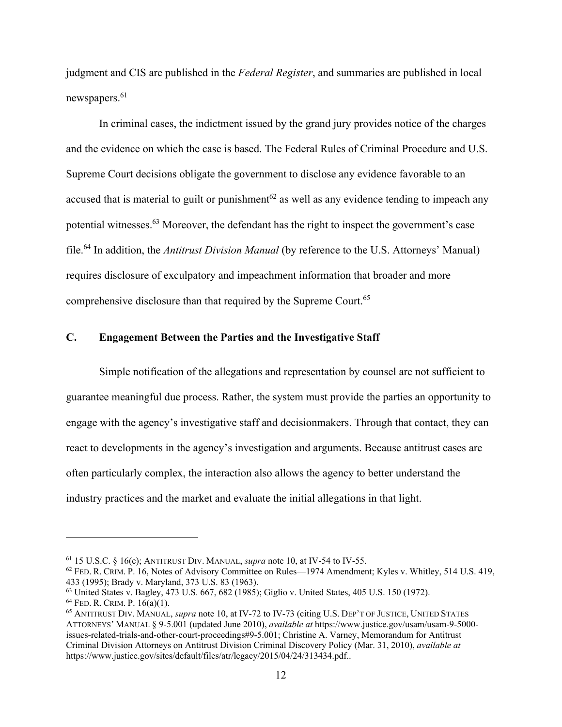judgment and CIS are published in the *Federal Register*, and summaries are published in local newspapers.<sup>61</sup>

 In criminal cases, the indictment issued by the grand jury provides notice of the charges and the evidence on which the case is based. The Federal Rules of Criminal Procedure and U.S. Supreme Court decisions obligate the government to disclose any evidence favorable to an accused that is material to guilt or punishment<sup>62</sup> as well as any evidence tending to impeach any potential witnesses.63 Moreover, the defendant has the right to inspect the government's case file.64 In addition, the *Antitrust Division Manual* (by reference to the U.S. Attorneys' Manual) requires disclosure of exculpatory and impeachment information that broader and more comprehensive disclosure than that required by the Supreme Court.<sup>65</sup>

# **C. Engagement Between the Parties and the Investigative Staff**

 Simple notification of the allegations and representation by counsel are not sufficient to guarantee meaningful due process. Rather, the system must provide the parties an opportunity to engage with the agency's investigative staff and decisionmakers. Through that contact, they can react to developments in the agency's investigation and arguments. Because antitrust cases are often particularly complex, the interaction also allows the agency to better understand the industry practices and the market and evaluate the initial allegations in that light.

<sup>&</sup>lt;sup>61</sup> 15 U.S.C. § 16(c); ANTITRUST DIV. MANUAL, *supra* note 10, at IV-54 to IV-55.<br><sup>62</sup> FED. R. CRIM. P. 16, Notes of Advisory Committee on Rules—1974 Amendment; Kyles v. Whitley, 514 U.S. 419, 433 (1995); Brady v. Maryland, 373 U.S. 83 (1963).

<sup>&</sup>lt;sup>63</sup> United States v. Bagley, 473 U.S. 667, 682 (1985); Giglio v. United States, 405 U.S. 150 (1972).<br><sup>64</sup> FED. R. CRIM. P. 16(a)(1).

<sup>&</sup>lt;sup>65</sup> ANTITRUST DIV. MANUAL, *supra* note 10, at IV-72 to IV-73 (citing U.S. DEP'T OF JUSTICE, UNITED STATES ATTORNEYS' MANUAL § 9-5.001 (updated June 2010), *available at* https://www.justice.gov/usam/usam-9-5000 issues-related-trials-and-other-court-proceedings#9-5.001; Christine A. Varney, Memorandum for Antitrust Criminal Division Attorneys on Antitrust Division Criminal Discovery Policy (Mar. 31, 2010), *available at* https://www.justice.gov/sites/default/files/atr/legacy/2015/04/24/313434.pdf..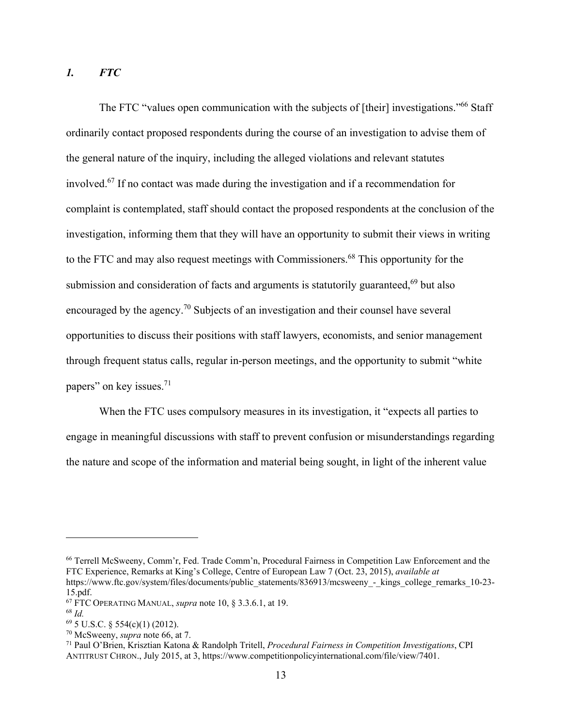# *1. FTC*

The FTC "values open communication with the subjects of [their] investigations."<sup>66</sup> Staff ordinarily contact proposed respondents during the course of an investigation to advise them of the general nature of the inquiry, including the alleged violations and relevant statutes involved.67 If no contact was made during the investigation and if a recommendation for complaint is contemplated, staff should contact the proposed respondents at the conclusion of the investigation, informing them that they will have an opportunity to submit their views in writing to the FTC and may also request meetings with Commissioners.<sup>68</sup> This opportunity for the submission and consideration of facts and arguments is statutorily guaranteed, $69$  but also encouraged by the agency.<sup>70</sup> Subjects of an investigation and their counsel have several opportunities to discuss their positions with staff lawyers, economists, and senior management through frequent status calls, regular in-person meetings, and the opportunity to submit "white papers" on key issues.71

When the FTC uses compulsory measures in its investigation, it "expects all parties to engage in meaningful discussions with staff to prevent confusion or misunderstandings regarding the nature and scope of the information and material being sought, in light of the inherent value

<sup>66</sup> Terrell McSweeny, Comm'r, Fed. Trade Comm'n, Procedural Fairness in Competition Law Enforcement and the FTC Experience, Remarks at King's College, Centre of European Law 7 (Oct. 23, 2015), *available at* https://www.ftc.gov/system/files/documents/public\_statements/836913/mcsweeny\_-\_kings\_college\_remarks\_10-23- 15.pdf.

<sup>&</sup>lt;sup>67</sup> FTC OPERATING MANUAL, *supra* note 10, § 3.3.6.1, at 19.<br><sup>68</sup> *Id.*  $^{69}$  5 U.S.C. § 554(c)(1) (2012).<br><sup>70</sup> McSweeny, *supra* note 66, at 7.

<sup>&</sup>lt;sup>71</sup> Paul O'Brien, Krisztian Katona & Randolph Tritell, *Procedural Fairness in Competition Investigations*, CPI ANTITRUST CHRON., July 2015, at 3, https://www.competitionpolicyinternational.com/file/view/7401.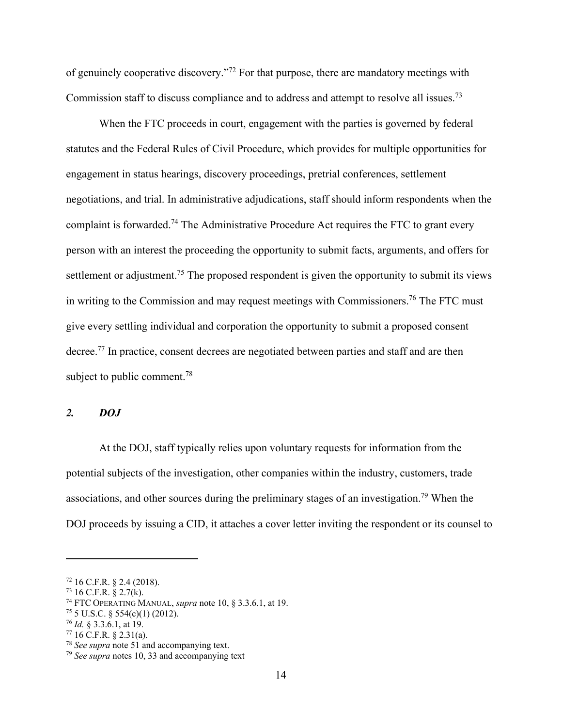of genuinely cooperative discovery."72 For that purpose, there are mandatory meetings with Commission staff to discuss compliance and to address and attempt to resolve all issues.<sup>73</sup>

When the FTC proceeds in court, engagement with the parties is governed by federal statutes and the Federal Rules of Civil Procedure, which provides for multiple opportunities for engagement in status hearings, discovery proceedings, pretrial conferences, settlement negotiations, and trial. In administrative adjudications, staff should inform respondents when the complaint is forwarded.<sup>74</sup> The Administrative Procedure Act requires the FTC to grant every person with an interest the proceeding the opportunity to submit facts, arguments, and offers for settlement or adjustment.<sup>75</sup> The proposed respondent is given the opportunity to submit its views in writing to the Commission and may request meetings with Commissioners.<sup>76</sup> The FTC must give every settling individual and corporation the opportunity to submit a proposed consent decree.<sup>77</sup> In practice, consent decrees are negotiated between parties and staff and are then subject to public comment.<sup>78</sup>

#### *2. DOJ*

 At the DOJ, staff typically relies upon voluntary requests for information from the potential subjects of the investigation, other companies within the industry, customers, trade associations, and other sources during the preliminary stages of an investigation.79 When the DOJ proceeds by issuing a CID, it attaches a cover letter inviting the respondent or its counsel to

 $72$  16 C.F.R. § 2.4 (2018).

 $73$  16 C.F.R. § 2.7(k).

<sup>&</sup>lt;sup>74</sup> FTC OPERATING MANUAL, *supra* note 10, § 3.3.6.1, at 19.<br><sup>75</sup> 5 U.S.C. § 554(c)(1) (2012).<br><sup>76</sup> *Id.* § 3.3.6.1, at 19.

<sup>&</sup>lt;sup>77</sup> 16 C.F.R. § 2.31(a).<br><sup>78</sup> *See supra* note 51 and accompanying text.

<sup>&</sup>lt;sup>79</sup> *See supra* notes 10, 33 and accompanying text.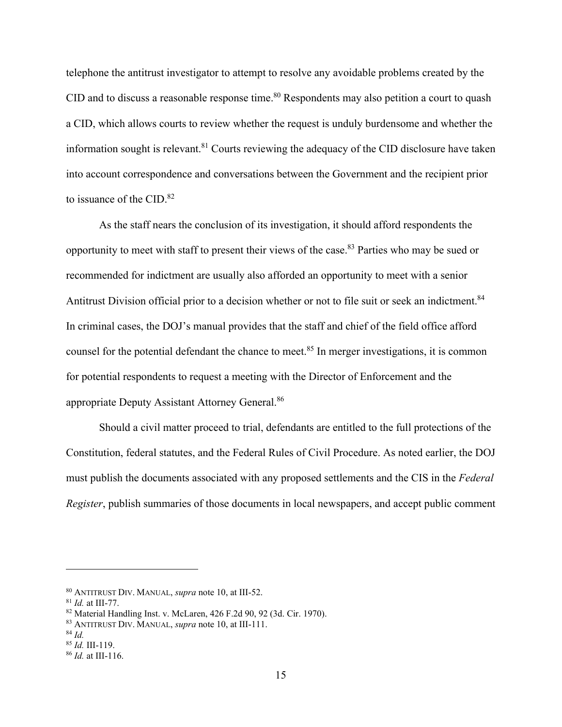telephone the antitrust investigator to attempt to resolve any avoidable problems created by the CID and to discuss a reasonable response time.<sup>80</sup> Respondents may also petition a court to quash a CID, which allows courts to review whether the request is unduly burdensome and whether the information sought is relevant.<sup>81</sup> Courts reviewing the adequacy of the CID disclosure have taken into account correspondence and conversations between the Government and the recipient prior to issuance of the CID.<sup>82</sup>

 As the staff nears the conclusion of its investigation, it should afford respondents the opportunity to meet with staff to present their views of the case.83 Parties who may be sued or recommended for indictment are usually also afforded an opportunity to meet with a senior Antitrust Division official prior to a decision whether or not to file suit or seek an indictment.<sup>84</sup> In criminal cases, the DOJ's manual provides that the staff and chief of the field office afford counsel for the potential defendant the chance to meet.<sup>85</sup> In merger investigations, it is common for potential respondents to request a meeting with the Director of Enforcement and the appropriate Deputy Assistant Attorney General.86

 Should a civil matter proceed to trial, defendants are entitled to the full protections of the Constitution, federal statutes, and the Federal Rules of Civil Procedure. As noted earlier, the DOJ must publish the documents associated with any proposed settlements and the CIS in the *Federal Register*, publish summaries of those documents in local newspapers, and accept public comment

<sup>80</sup> ANTITRUST DIV. MANUAL, *supra* note 10, at III-52. 81 *Id.* at III-77. 82 Material Handling Inst. v. McLaren, 426 F.2d 90, 92 (3d. Cir. 1970).

<sup>83</sup> ANTITRUST DIV. MANUAL, *supra* note 10, at III-111. 84 *Id.*

<sup>85</sup> *Id.* III-119. 86 *Id.* at III-116.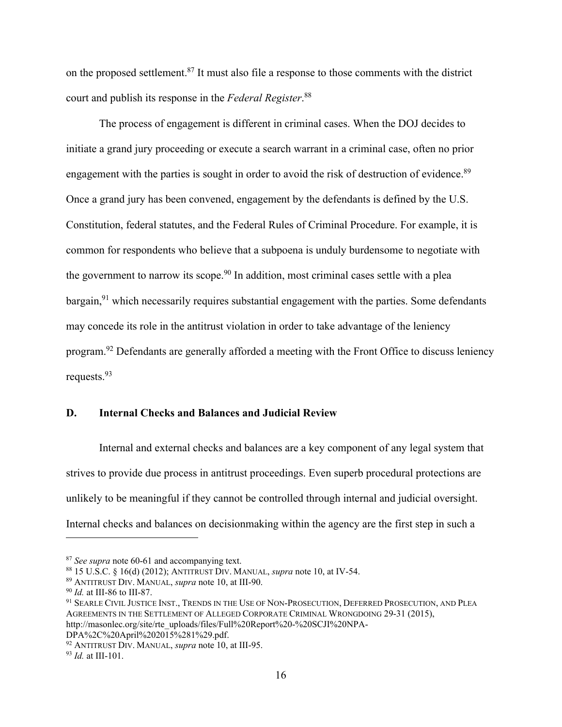on the proposed settlement.87 It must also file a response to those comments with the district court and publish its response in the *Federal Register*. 88

 The process of engagement is different in criminal cases. When the DOJ decides to initiate a grand jury proceeding or execute a search warrant in a criminal case, often no prior engagement with the parties is sought in order to avoid the risk of destruction of evidence.<sup>89</sup> Once a grand jury has been convened, engagement by the defendants is defined by the U.S. Constitution, federal statutes, and the Federal Rules of Criminal Procedure. For example, it is common for respondents who believe that a subpoena is unduly burdensome to negotiate with the government to narrow its scope.<sup>90</sup> In addition, most criminal cases settle with a plea  $bargain<sub>1</sub><sup>91</sup>$  which necessarily requires substantial engagement with the parties. Some defendants may concede its role in the antitrust violation in order to take advantage of the leniency program.92 Defendants are generally afforded a meeting with the Front Office to discuss leniency requests.93

# **D. Internal Checks and Balances and Judicial Review**

 Internal and external checks and balances are a key component of any legal system that strives to provide due process in antitrust proceedings. Even superb procedural protections are unlikely to be meaningful if they cannot be controlled through internal and judicial oversight. Internal checks and balances on decisionmaking within the agency are the first step in such a

<sup>&</sup>lt;sup>87</sup> See supra note 60-61 and accompanying text.<br><sup>88</sup> 15 U.S.C. § 16(d) (2012); ANTITRUST DIV. MANUAL, *supra* note 10, at IV-54.<br><sup>89</sup> ANTITRUST DIV. MANUAL, *supra* note 10, at III-90.<br><sup>90</sup> Id. at III-86 to III-87.<br><sup>91</sup> AGREEMENTS IN THE SETTLEMENT OF ALLEGED CORPORATE CRIMINAL WRONGDOING 29-31 (2015), http://masonlec.org/site/rte\_uploads/files/Full%20Report%20-%20SCJI%20NPA-DPA%2C%20April%202015%281%29.pdf.

<sup>92</sup> ANTITRUST DIV. MANUAL, *supra* note 10, at III-95. 93 *Id.* at III-101.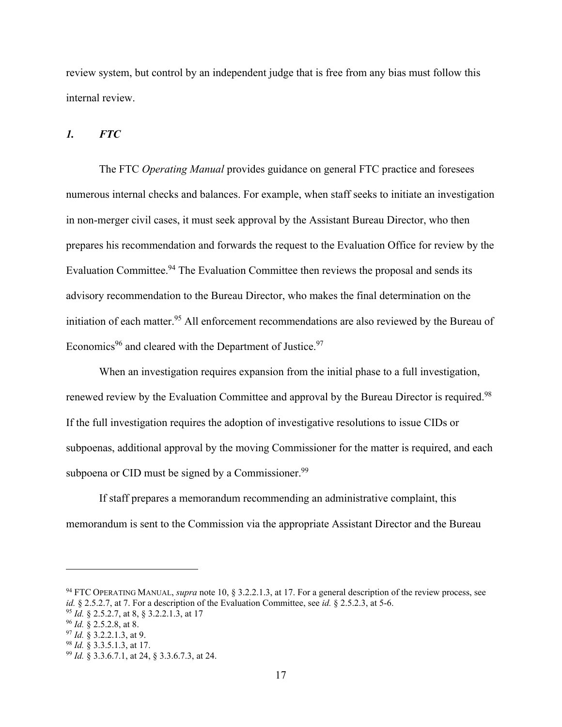review system, but control by an independent judge that is free from any bias must follow this internal review.

#### *1. FTC*

 The FTC *Operating Manual* provides guidance on general FTC practice and foresees numerous internal checks and balances. For example, when staff seeks to initiate an investigation in non-merger civil cases, it must seek approval by the Assistant Bureau Director, who then prepares his recommendation and forwards the request to the Evaluation Office for review by the Evaluation Committee.<sup>94</sup> The Evaluation Committee then reviews the proposal and sends its advisory recommendation to the Bureau Director, who makes the final determination on the initiation of each matter.<sup>95</sup> All enforcement recommendations are also reviewed by the Bureau of Economics<sup>96</sup> and cleared with the Department of Justice.<sup>97</sup>

 When an investigation requires expansion from the initial phase to a full investigation, renewed review by the Evaluation Committee and approval by the Bureau Director is required.<sup>98</sup> If the full investigation requires the adoption of investigative resolutions to issue CIDs or subpoenas, additional approval by the moving Commissioner for the matter is required, and each subpoena or CID must be signed by a Commissioner.<sup>99</sup>

 If staff prepares a memorandum recommending an administrative complaint, this memorandum is sent to the Commission via the appropriate Assistant Director and the Bureau

<sup>&</sup>lt;sup>94</sup> FTC OPERATING MANUAL, *supra* note 10, § 3.2.2.1.3, at 17. For a general description of the review process, see *id.* § 2.5.2.7, at 7. For a description of the Evaluation Committee, see *id.* § 2.5.2.3, at 5-6.<br><sup>95</sup> *Id.* § 2.5.2.7, at 8, § 3.2.2.1.3, at 17<br><sup>96</sup> *Id.* § 2.5.2.8, at 8.<br><sup>97</sup> *Id.* § 3.2.2.1.3, at 9.<br><sup>97</sup> *Id.* § 3.3.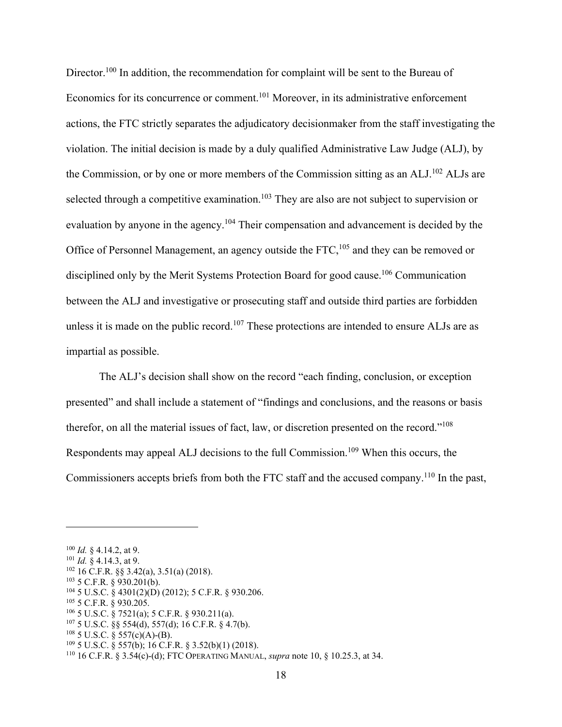Director.<sup>100</sup> In addition, the recommendation for complaint will be sent to the Bureau of Economics for its concurrence or comment.101 Moreover, in its administrative enforcement actions, the FTC strictly separates the adjudicatory decisionmaker from the staff investigating the violation. The initial decision is made by a duly qualified Administrative Law Judge (ALJ), by the Commission, or by one or more members of the Commission sitting as an ALJ.<sup>102</sup> ALJs are selected through a competitive examination.<sup>103</sup> They are also are not subject to supervision or evaluation by anyone in the agency.<sup>104</sup> Their compensation and advancement is decided by the Office of Personnel Management, an agency outside the FTC,<sup>105</sup> and they can be removed or disciplined only by the Merit Systems Protection Board for good cause.<sup>106</sup> Communication between the ALJ and investigative or prosecuting staff and outside third parties are forbidden unless it is made on the public record.<sup>107</sup> These protections are intended to ensure ALJs are as impartial as possible.

 The ALJ's decision shall show on the record "each finding, conclusion, or exception presented" and shall include a statement of "findings and conclusions, and the reasons or basis therefor, on all the material issues of fact, law, or discretion presented on the record."<sup>108</sup> Respondents may appeal ALJ decisions to the full Commission.109 When this occurs, the Commissioners accepts briefs from both the FTC staff and the accused company.110 In the past,

<sup>&</sup>lt;sup>100</sup> *Id.* § 4.14.2, at 9.<br>
<sup>101</sup> *Id.* § 4.14.3, at 9.<br>
<sup>102</sup> 16 C.F.R. §§ 3.42(a), 3.51(a) (2018).<br>
<sup>103</sup> 5 C.F.R. § 930.201(b).<br>
<sup>104</sup> 5 U.S.C. § 4301(2)(D) (2012); 5 C.F.R. § 930.206.<br>
<sup>105</sup> 5 C.F.R. § 930.205.<br>
<sup>106</sup>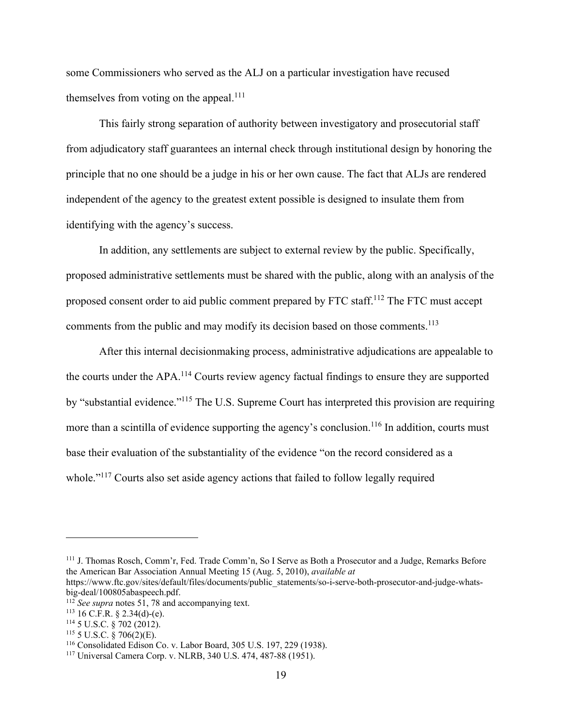some Commissioners who served as the ALJ on a particular investigation have recused themselves from voting on the appeal.<sup>111</sup>

 This fairly strong separation of authority between investigatory and prosecutorial staff from adjudicatory staff guarantees an internal check through institutional design by honoring the principle that no one should be a judge in his or her own cause. The fact that ALJs are rendered independent of the agency to the greatest extent possible is designed to insulate them from identifying with the agency's success.

 In addition, any settlements are subject to external review by the public. Specifically, proposed administrative settlements must be shared with the public, along with an analysis of the proposed consent order to aid public comment prepared by FTC staff.112 The FTC must accept comments from the public and may modify its decision based on those comments.<sup>113</sup>

 After this internal decisionmaking process, administrative adjudications are appealable to the courts under the APA.114 Courts review agency factual findings to ensure they are supported by "substantial evidence."<sup>115</sup> The U.S. Supreme Court has interpreted this provision are requiring more than a scintilla of evidence supporting the agency's conclusion.<sup>116</sup> In addition, courts must base their evaluation of the substantiality of the evidence "on the record considered as a whole."<sup>117</sup> Courts also set aside agency actions that failed to follow legally required

<sup>111</sup> J. Thomas Rosch, Comm'r, Fed. Trade Comm'n, So I Serve as Both a Prosecutor and a Judge, Remarks Before the American Bar Association Annual Meeting 15 (Aug. 5, 2010), *available at*

https://www.ftc.gov/sites/default/files/documents/public\_statements/so-i-serve-both-prosecutor-and-judge-whatsbig-deal/100805abaspeech.pdf.<br><sup>112</sup> See supra notes 51, 78 and accompanying text.

<sup>&</sup>lt;sup>113</sup> 16 C.F.R. § 2.34(d)-(e).<br><sup>114</sup> 5 U.S.C. § 702 (2012).<br><sup>115</sup> 5 U.S.C. § 706(2)(E).<br><sup>115</sup> Consolidated Edison Co. v. Labor Board, 305 U.S. 197, 229 (1938).<br><sup>117</sup> Universal Camera Corp. v. NLRB, 340 U.S. 474, 487-88 (1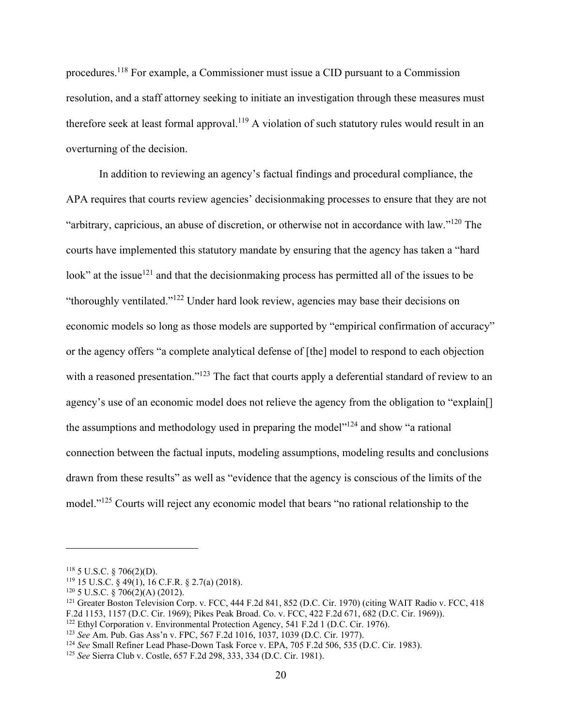procedures.118 For example, a Commissioner must issue a CID pursuant to a Commission resolution, and a staff attorney seeking to initiate an investigation through these measures must therefore seek at least formal approval.<sup>119</sup> A violation of such statutory rules would result in an overturning of the decision.

 In addition to reviewing an agency's factual findings and procedural compliance, the APA requires that courts review agencies' decisionmaking processes to ensure that they are not "arbitrary, capricious, an abuse of discretion, or otherwise not in accordance with law."120 The courts have implemented this statutory mandate by ensuring that the agency has taken a "hard look" at the issue<sup>121</sup> and that the decision making process has permitted all of the issues to be "thoroughly ventilated."122 Under hard look review, agencies may base their decisions on economic models so long as those models are supported by "empirical confirmation of accuracy" or the agency offers "a complete analytical defense of [the] model to respond to each objection with a reasoned presentation."<sup>123</sup> The fact that courts apply a deferential standard of review to an agency's use of an economic model does not relieve the agency from the obligation to "explain[] the assumptions and methodology used in preparing the model<sup>"124</sup> and show "a rational" connection between the factual inputs, modeling assumptions, modeling results and conclusions drawn from these results" as well as "evidence that the agency is conscious of the limits of the model."<sup>125</sup> Courts will reject any economic model that bears "no rational relationship to the

<sup>118 5</sup> U.S.C. § 706(2)(D).<br><sup>119</sup> 15 U.S.C. § 49(1), 16 C.F.R. § 2.7(a) (2018).<br><sup>120</sup> 5 U.S.C. § 706(2)(A) (2012).<br><sup>121</sup> Greater Boston Television Corp. v. FCC, 444 F.2d 841, 852 (D.C. Cir. 1970) (citing WAIT Radio v. FCC, 4 F.2d 1153, 1157 (D.C. Cir. 1969); Pikes Peak Broad. Co. v. FCC, 422 F.2d 671, 682 (D.C. Cir. 1969)).<br><sup>122</sup> Ethyl Corporation v. Environmental Protection Agency, 541 F.2d 1 (D.C. Cir. 1976).

<sup>&</sup>lt;sup>123</sup> See Am. Pub. Gas Ass'n v. FPC, 567 F.2d 1016, 1037, 1039 (D.C. Cir. 1977).<br><sup>124</sup> See Small Refiner Lead Phase-Down Task Force v. EPA, 705 F.2d 506, 535 (D.C. Cir. 1983).<br><sup>125</sup> See Sierra Club v. Costle, 657 F.2d 298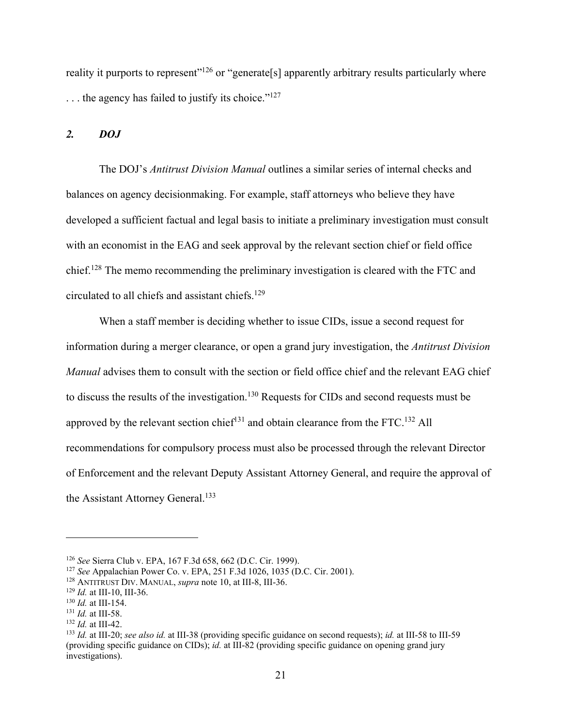reality it purports to represent"<sup>126</sup> or "generate<sup>[s]</sup> apparently arbitrary results particularly where ... the agency has failed to justify its choice."<sup>127</sup>

### *2. DOJ*

 The DOJ's *Antitrust Division Manual* outlines a similar series of internal checks and balances on agency decisionmaking. For example, staff attorneys who believe they have developed a sufficient factual and legal basis to initiate a preliminary investigation must consult with an economist in the EAG and seek approval by the relevant section chief or field office chief.128 The memo recommending the preliminary investigation is cleared with the FTC and circulated to all chiefs and assistant chiefs.129

When a staff member is deciding whether to issue CIDs, issue a second request for information during a merger clearance, or open a grand jury investigation, the *Antitrust Division Manual* advises them to consult with the section or field office chief and the relevant EAG chief to discuss the results of the investigation.<sup>130</sup> Requests for CIDs and second requests must be approved by the relevant section chief<sup>131</sup> and obtain clearance from the FTC.<sup>132</sup> All recommendations for compulsory process must also be processed through the relevant Director of Enforcement and the relevant Deputy Assistant Attorney General, and require the approval of the Assistant Attorney General.<sup>133</sup>

<sup>&</sup>lt;sup>126</sup> See Sierra Club v. EPA, 167 F.3d 658, 662 (D.C. Cir. 1999).<br>
<sup>127</sup> See Appalachian Power Co. v. EPA, 251 F.3d 1026, 1035 (D.C. Cir. 2001).<br>
<sup>128</sup> ANTITRUST DIV. MANUAL, *supra* note 10, at III-8, III-36.<br>
<sup>129</sup> Id. (providing specific guidance on CIDs); *id.* at III-82 (providing specific guidance on opening grand jury investigations).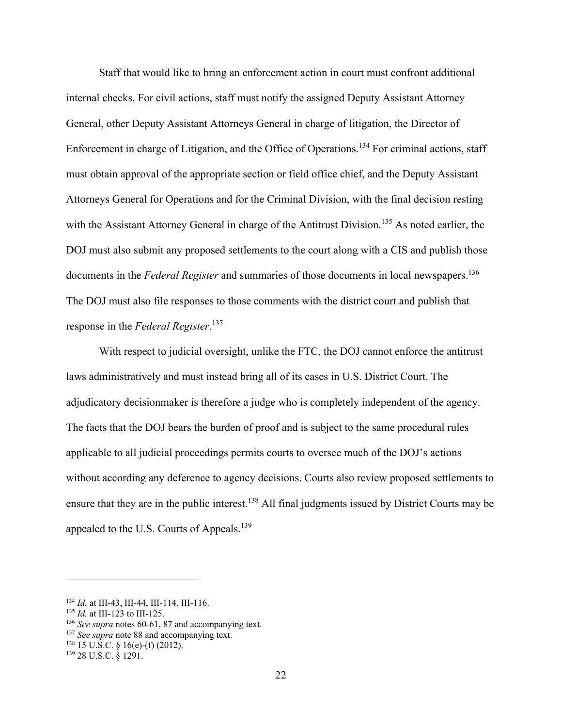Staff that would like to bring an enforcement action in court must confront additional internal checks. For civil actions, staff must notify the assigned Deputy Assistant Attorney General, other Deputy Assistant Attorneys General in charge of litigation, the Director of Enforcement in charge of Litigation, and the Office of Operations.134 For criminal actions, staff must obtain approval of the appropriate section or field office chief, and the Deputy Assistant Attorneys General for Operations and for the Criminal Division, with the final decision resting with the Assistant Attorney General in charge of the Antitrust Division.<sup>135</sup> As noted earlier, the DOJ must also submit any proposed settlements to the court along with a CIS and publish those documents in the *Federal Register* and summaries of those documents in local newspapers.<sup>136</sup> The DOJ must also file responses to those comments with the district court and publish that response in the *Federal Register*. 137

With respect to judicial oversight, unlike the FTC, the DOJ cannot enforce the antitrust laws administratively and must instead bring all of its cases in U.S. District Court. The adjudicatory decisionmaker is therefore a judge who is completely independent of the agency. The facts that the DOJ bears the burden of proof and is subject to the same procedural rules applicable to all judicial proceedings permits courts to oversee much of the DOJ's actions without according any deference to agency decisions. Courts also review proposed settlements to ensure that they are in the public interest.<sup>138</sup> All final judgments issued by District Courts may be appealed to the U.S. Courts of Appeals.<sup>139</sup>

<sup>&</sup>lt;sup>134</sup> *Id.* at III-43, III-44, III-114, III-116.<br><sup>135</sup> *Id.* at III-123 to III-125.<br><sup>136</sup> *See supra* notes 60-61, 87 and accompanying text.<br><sup>137</sup> *See supra* note 88 and accompanying text.<br><sup>138</sup> 15 U.S.C. § 16(e)-(f) (20